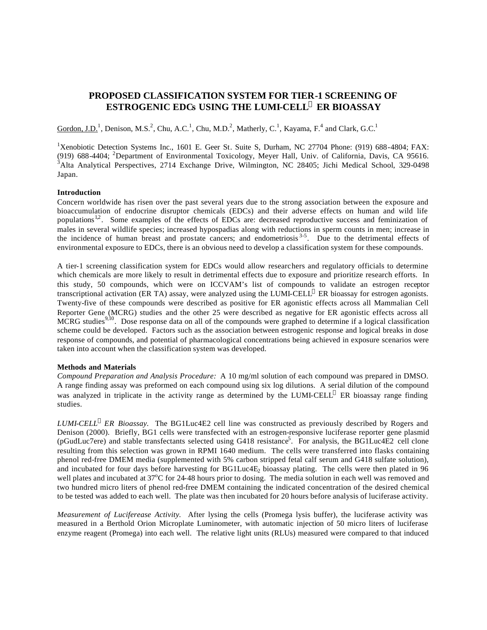# **PROPOSED CLASSIFICATION SYSTEM FOR TIER-1 SCREENING OF ESTROGENIC EDCs USING THE LUMI-CELL<sup>Ò</sup> ER BIOASSAY**

Gordon, J.D.<sup>1</sup>, Denison, M.S.<sup>2</sup>, Chu, A.C.<sup>1</sup>, Chu, M.D.<sup>2</sup>, Matherly, C.<sup>1</sup>, Kayama, F.<sup>4</sup> and Clark, G.C.<sup>1</sup>

<sup>1</sup>Xenobiotic Detection Systems Inc., 1601 E. Geer St. Suite S, Durham, NC 27704 Phone: (919) 688-4804; FAX: (919) 688-4404; <sup>2</sup>Department of Environmental Toxicology, Meyer Hall, Univ. of California, Davis, CA 95616.  $3$ Alta Analytical Perspectives, 2714 Exchange Drive, Wilmington, NC 28405; Jichi Medical School, 329-0498 Japan.

## **Introduction**

Concern worldwide has risen over the past several years due to the strong association between the exposure and bioaccumulation of endocrine disruptor chemicals (EDCs) and their adverse effects on human and wild life populations<sup>12</sup>. Some examples of the effects of EDCs are: decreased reproductive success and feminization of males in several wildlife species; increased hypospadias along with reductions in sperm counts in men; increase in the incidence of human breast and prostate cancers; and endometriosis<sup>3-5</sup>. Due to the detrimental effects of environmental exposure to EDCs, there is an obvious need to develop a classification system for these compounds.

A tier-1 screening classification system for EDCs would allow researchers and regulatory officials to determine which chemicals are more likely to result in detrimental effects due to exposure and prioritize research efforts. In this study, 50 compounds, which were on ICCVAM's list of compounds to validate an estrogen receptor transcriptional activation (ER TA) assay, were analyzed using the LUMI-CELL<sup>®</sup> ER bioassay for estrogen agonists. Twenty-five of these compounds were described as positive for ER agonistic effects across all Mammalian Cell Reporter Gene (MCRG) studies and the other 25 were described as negative for ER agonistic effects across all MCRG studies<sup>9,10</sup>. Dose response data on all of the compounds were graphed to determine if a logical classification scheme could be developed. Factors such as the association between estrogenic response and logical breaks in dose response of compounds, and potential of pharmacological concentrations being achieved in exposure scenarios were taken into account when the classification system was developed.

# **Methods and Materials**

*Compound Preparation and Analysis Procedure:* A 10 mg/ml solution of each compound was prepared in DMSO. A range finding assay was preformed on each compound using six log dilutions. A serial dilution of the compound was analyzed in triplicate in the activity range as determined by the LUMI-CELL<sup>®</sup> ER bioassay range finding studies.

*LUMI-CELL<sup>â</sup> ER Bioassay.* The BG1Luc4E2 cell line was constructed as previously described by Rogers and Denison (2000). Briefly, BG1 cells were transfected with an estrogen-responsive luciferase reporter gene plasmid (pGudLuc7ere) and stable transfectants selected using G418 resistance<sup>5</sup>. For analysis, the BG1Luc4E2 cell clone resulting from this selection was grown in RPMI 1640 medium. The cells were transferred into flasks containing phenol red-free DMEM media (supplemented with 5% carbon stripped fetal calf serum and G418 sulfate solution), and incubated for four days before harvesting for BG1Luc4E<sub>2</sub> bioassay plating. The cells were then plated in 96 well plates and incubated at 37<sup>o</sup>C for 24-48 hours prior to dosing. The media solution in each well was removed and two hundred micro liters of phenol red-free DMEM containing the indicated concentration of the desired chemical to be tested was added to each well. The plate was then incubated for 20 hours before analysis of luciferase activity.

*Measurement of Luciferease Activity.* After lysing the cells (Promega lysis buffer), the luciferase activity was measured in a Berthold Orion Microplate Luminometer, with automatic injection of 50 micro liters of luciferase enzyme reagent (Promega) into each well. The relative light units (RLUs) measured were compared to that induced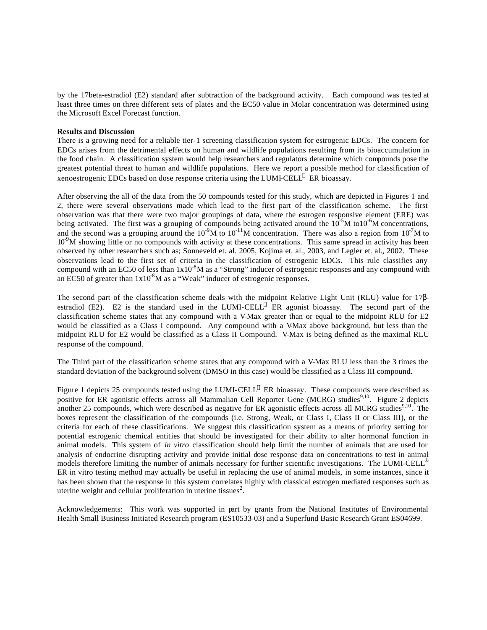by the 17beta-estradiol (E2) standard after subtraction of the background activity. Each compound was tested at least three times on three different sets of plates and the EC50 value in Molar concentration was determined using the Microsoft Excel Forecast function.

### **Results and Discussion**

There is a growing need for a reliable tier-1 screening classification system for estrogenic EDCs. The concern for EDCs arises from the detrimental effects on human and wildlife populations resulting from its bioaccumulation in the food chain. A classification system would help researchers and regulators determine which compounds pose the greatest potential threat to human and wildlife populations. Here we report a possible method for classification of xenoestrogenic EDCs based on dose response criteria using the LUMI-CELL® ER bioassay.

After observing the all of the data from the 50 compounds tested for this study, which are depicted in Figures 1 and 2, there were several observations made which lead to the first part of the classification scheme. The first observation was that there were two major groupings of data, where the estrogen responsive element (ERE) was being activated. The first was a grouping of compounds being activated around the  $10^{-5}M$  to $10^{-6}M$  concentrations, and the second was a grouping around the  $10^{-9}M$  to  $10^{-11}M$  concentration. There was also a region from  $10^{-7}M$  to  $10<sup>9</sup>M$  showing little or no compounds with activity at these concentrations. This same spread in activity has been observed by other researchers such as; Sonneveld et. al. 2005, Kojima et. al., 2003, and Legler et. al., 2002. These observations lead to the first set of criteria in the classification of estrogenic EDCs. This rule classifies any compound with an EC50 of less than  $1x10^{-8}M$  as a "Strong" inducer of estrogenic responses and any compound with an EC50 of greater than  $1x10<sup>8</sup>M$  as a "Weak" inducer of estrogenic responses.

The second part of the classification scheme deals with the midpoint Relative Light Unit (RLU) value for 17βestradiol (E2). E2 is the standard used in the LUMI-CELL<sup>®</sup> ER agonist bioassay. The second part of the classification scheme states that any compound with a V-Max greater than or equal to the midpoint RLU for E2 would be classified as a Class I compound. Any compound with a V-Max above background, but less than the midpoint RLU for E2 would be classified as a Class II Compound. V-Max is being defined as the maximal RLU response of the compound.

The Third part of the classification scheme states that any compound with a V-Max RLU less than the 3 times the standard deviation of the background solvent (DMSO in this case) would be classified as a Class III compound.

Figure 1 depicts 25 compounds tested using the LUMI-CELL® ER bioassay. These compounds were described as positive for ER agonistic effects across all Mammalian Cell Reporter Gene (MCRG) studies<sup>9,10</sup>. Figure 2 depicts another 25 compounds, which were described as negative for ER agonistic effects across all MCRG studies $9,10$ . The boxes represent the classification of the compounds (i.e. Strong, Weak, or Class I, Class II or Class III), or the criteria for each of these classifications. We suggest this classification system as a means of priority setting for potential estrogenic chemical entities that should be investigated for their ability to alter hormonal function in animal models. This system of *in vitro* classification should help limit the number of animals that are used for analysis of endocrine disrupting activity and provide initial dose response data on concentrations to test in animal models therefore limiting the number of animals necessary for further scientific investigations. The LUMI-CELL<sup>®</sup> ER in vitro testing method may actually be useful in replacing the use of animal models, in some instances, since it has been shown that the response in this system correlates highly with classical estrogen mediated responses such as uterine weight and cellular proliferation in uterine tissues<sup>2</sup>.

Acknowledgements: This work was supported in part by grants from the National Institutes of Environmental Health Small Business Initiated Research program (ES10533-03) and a Superfund Basic Research Grant ES04699.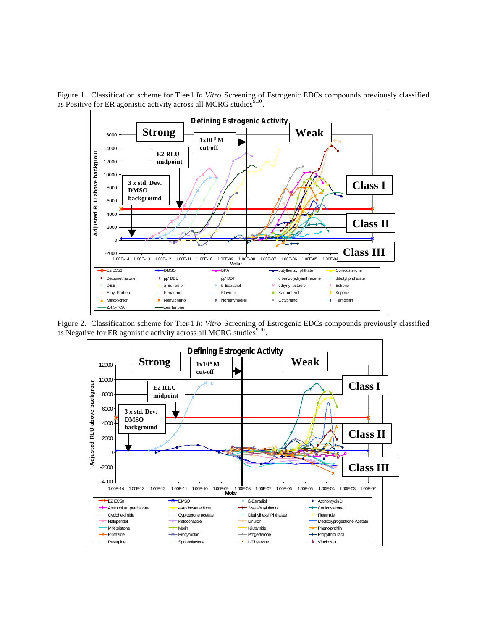

Figure 1. Classification scheme for Tier-1 *In Vitro* Screening of Estrogenic EDCs compounds previously classified as Positive for ER agonistic activity across all MCRG studies  $9,10$ .

Figure 2. Classification scheme for Tier-1 *In Vitro* Screening of Estrogenic EDCs compounds previously classified as Negative for ER agonistic activity across all MCRG studies  $9,10$ .